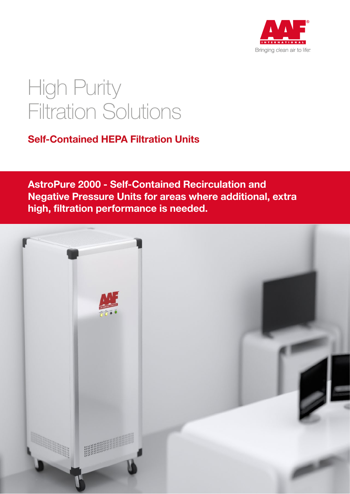

# High Purity Filtration Solutions

### Self-Contained HEPA Filtration Units

AstroPure 2000 - Self-Contained Recirculation and Negative Pressure Units for areas where additional, extra high, filtration performance is needed.

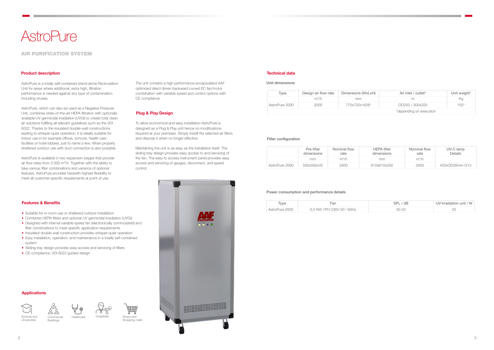## **AstroPure**

### AIR PURIFICATION SYSTEM

- Suitable for in-room use or sheltered outdoor installation
- Combines HEPA filters and optional UV germicidal irradiation (UVGI)
- Designed with internal variable speed fan (electronically commutated) and filter combinations to meet specific application requirements
- Insulated double-wall construction provides whisper-quiet operation
- Easy installation, operation, and maintenance in a totally self-contained system
- Sliding tray design provides easy access and servicing of filters
- CE-compliance, VDI 6022 guided design

#### Product description

#### Features & Benefits

#### Technical data













AstroPure is a totally self-contained stand-alone Recirculation Unit for areas where additional, extra high, filtration performance is needed against any type of contamination including viruses.

AstroPure, which can also be used as a Negative Pressure Unit, combines state-of-the-art HEPA filtration with optionally available UV germicidal irradiation (UVGI) to create total clean air solutions fulfilling all relevant guidelines such as the VDI 6022. Thanks to the insulated double-wall constructions leading to whisper-quiet operation, it is ideally suitable for indoor use in for example offices, schools, health care facilities or hotel lobbies, just to name a few. When properly sheltered outdoor use with duct connection is also possible.

AstroPure is available in two expansion stages that provide air flow rates from 2.000  $m^3/h$ . Together with the ability to take various filter combinations and variance of optional features, AstroPure provides herewith highest flexibility to meet all customer-specific requirements at point of use.



The unit contains a high performance encapsulated AAF optimized direct driven backward curved EC fan/motor combination with variable speed and control options with CE compliance.

#### Plug & Play Design

To allow economical and easy installation AstroPure is designed as a Plug & Play unit hence no modifications required at your premises. Simply install the selected air filters and dispose it when no longer effective.

Maintaining the unit is as easy as the installation itself. The sliding tray design provides easy access to and servicing of the fan. The easy to access instrument panel provides easy access and servicing of gauges, disconnect, and speed control.



| Type           | Design air flow rate | Dimensions (WxLxH) | Air inlet / outlet*     | Unit weight* |
|----------------|----------------------|--------------------|-------------------------|--------------|
|                | $m^3/h$              | mm                 | m                       | Κq           |
| AstroPure 2000 | 2000                 | 770x720x1628*      | OD250 / 300x200         | 150*         |
|                |                      |                    | *depending on execution |              |

#### Filter configuration

#### Power consumption and performance details

|                | Pre-filter<br>dimensions | Nominal flow<br>rate | <b>HEPA</b> filter<br>dimensions | Nominal flow<br>rate | UV-C lamp<br>Details |
|----------------|--------------------------|----------------------|----------------------------------|----------------------|----------------------|
|                | mm.                      | $m^3/h$              | mm                               | $m^3/h$              |                      |
| AstroPure 2000 | 592x592x45               | 3400                 | 610x610x292                      | 3400                 | 450x0D26mm G13       |

| Type           | Fan                       | SPL/dB    | UV-Irradiation unit / W |
|----------------|---------------------------|-----------|-------------------------|
| AstroPure 2000 | 0,5 KW 1PH 230V 50 / 60Hz | $35 - 52$ |                         |

#### Unit dimensions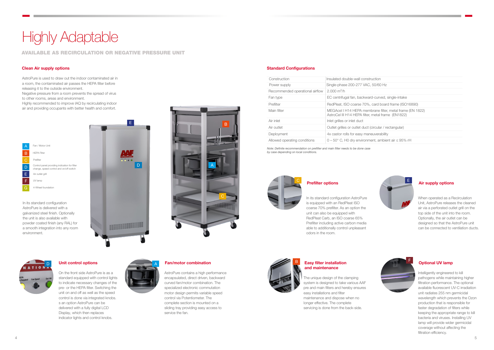AstroPure is used to draw out the indoor contaminated air in a room, the contaminated air passes the HEPA filter before releasing it to the outside environment.

Negative pressure from a room prevents the spread of virus to other rooms, areas and environment.

Highly recommended to improve IAQ by recirculating indoor air and providing occupants with better health and comfort.

| ction                                                     |
|-----------------------------------------------------------|
| 0/60 Hz                                                   |
|                                                           |
| curved, single-intake                                     |
| ard board frame (ISO16890)                                |
| ane filter, metal frame (EN 1822)<br>ietal frame (EN1822) |
|                                                           |
| cular / rectangular)                                      |
| ıverability                                               |
| ıt, ambient air ≤ 95% rH                                  |



#### **Air supply options**

| Construction                    | Insulated double-wall construction                                                                              |
|---------------------------------|-----------------------------------------------------------------------------------------------------------------|
| Power supply                    | Single-phase 200-277 VAC, 50/60 Hz                                                                              |
| Recommended operational airflow | $2.000 \text{ m}^3/h$                                                                                           |
| Fan type                        | EC centrifugal fan, backward-curved, single-intake                                                              |
| Prefilter                       | RedPleat, ISO coarse 70%, card board frame (ISO16890)                                                           |
| Main filter                     | MEGAcel I H14 HEPA membrane filter, metal frame (EN 1822)<br>AstroCel III H14 HEPA filter, metal frame (EN1822) |
| Air inlet                       | Inlet grilles or inlet duct                                                                                     |
| Air outlet                      | Outlet grilles or outlet duct (circular / rectangular)                                                          |
| Deployment                      | 4x castor rolls for easy maneuverability                                                                        |
| Allowed operating conditions    | $0 - 50^{\circ}$ C, H0 dry environment, ambient air $\leq$ 95% rH                                               |
|                                 |                                                                                                                 |

#### Unit control options **Optional UV lamp and Assemble Control of Control of Control of Control of Control of Control Optional UV lamp** Fan/motor combination

Intelligently engineered to kill pathogens while maintaining higher filtration performance. The optional available fluorescent UV-C irradiation unit radiates 255 nm germicidal wavelength which prevents the Ozon production that is responsible for faster degradation of filters while keeping the appropriate range to kill bacteria and viruses. Installing UV lamp will provide wider germicidal coverage without affecting the filtration efficiency.

AstroPure contains a high performance encapsulated, direct driven, backward curved fan/motor combination. The specialized electronic commutation motor design permits variable speed control via Potentiometer. The complete section is mounted on a sliding tray providing easy access to service the fan.

On the front side AstroPure is as a standard equipped with control lights to indicate necessary changes of the pre- or the HEPA filter. Switching the unit on and off as well as the speed control is done via integrated knobs. s an option AstroPure can be delivered with a fully digital LCD Display, which then replaces indicator lights and control knobs.



#### Standard Configurations

# **Highly Adaptable**

### AVAILABLE AS RECIRCULATION OR NEGATIVE PRESSURE UNIT

#### Clean Air supply options

#### Easy filter installation and maintenance

The unique design of the clamping system is designed to take various AAF pre and main filters and hereby ensures easy installations and filter maintenance and dispose when no longer effective. The complete servicing is done from the back-side.









In its standard configuration AstroPure is equipped with an RedPleat ISO coarse 70% prefilter. As an option the unit can also be equipped with RedPleat Carb, an ISO coarse 65% Prefilter including active carbon media able to additionally control unpleasant odors in the room.

When operated as a Recirculation Unit, AstroPure releases the cleaned air via a perforated outlet grill on the top side of the unit into the room. Optionally, the air outlet can be designed so that the AstroPure unit can be connected to ventilation ducts.



Note: Definite recommendation on prefilter and main filter needs to be done case by case depending on local conditions.



#### **Prefilter options**

B

A

C

AstroPure is delivered with a galvanized steel finish. Optionally the unit is also available with powder coated finish (any RAL) for a smooth integration into any room environment.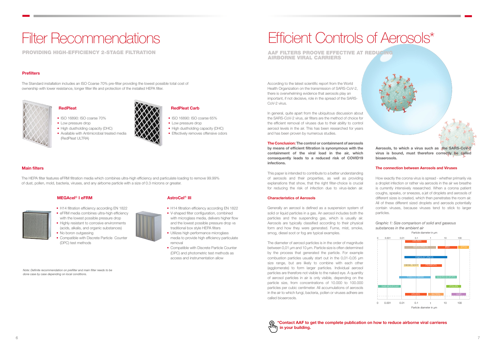#### Main filters

## Filter Recommendations

PROVIDING HIGH-EFFICIENCY 2-STAGE FILTRATION

#### **Prefilters**

The Standard installation includes an ISO Coarse 70% pre-filter providing the lowest possible total cost of ownership with lower resistance, longer filter life and protection of the installed HEPA filter.



#### **RedPleat**

The HEPA filter features eFRM filtration media which combines ultra-high efficiency and particulate loading to remove 99.99% of dust, pollen, mold, bacteria, viruses, and any airborne particle with a size of 0.3 microns or greater.

### MEGAcel<sup>®</sup> I eFRM

## Efficient Controls of Aerosols\*

#### \*Contact AAF to get the complete publication on how to reduce airborne viral carrieres

AAF FILTERS PROOVE EFFECTIVE AT REDUCING AIRBORNE VIRAL CARRIERS

According to the latest scientific report from the World Health Organization on the transmission of SARS-CoV-2, there is overwhelming evidence that aerosols play an important, if not decisive, role in the spread of the SARS-CoV-2 virus.

In general, quite apart from the ubiquitous discussion about the SARS-CoV-2 virus, air filters are the method of choice for the efficient removal of viruses due to their ability to control aerosol levels in the air. This has been researched for years and has been proven by numerous studies.

The Conclusion: The control or containment of aerosols by means of efficient filtration is synonymous with the containment of the viral load in the air, which consequently leads to a reduced risk of COVID19 infections.

This paper is intended to contribute to a better understanding of aerosols and their properties, as well as providing explanations that show, that the right filter-choice is crucial for reducing the risk of infection due to virus-laden air.

#### Characteristics of Aerosols

Generally an aerosol is defined as a suspension system of solid or liquid particles in a gas. An aerosol includes both the particles and the suspending gas, which is usually air. Aerosols are typically classified according to their physical form and how they were generated. Fume, mist, smoke, smog, diesel soot or fog are typical examples.

- H14 filtration efficiency according EN 1822
- V-shaped filter configuration, combined with microglass media, delivers higher flow and the lowest possible pressure drop vs traditional box style HEPA filters
- Utilizes high performance microglass media to provide high efficiency particulate removal
- Compatible with Discrete Particle Counter (DPC) and photometric test methods as access and instrumentation allow

The diameter of aerosol particles is in the order of magnitude between 0,01 µm and 10 μm. Particle size is often determined by the process that generated the particle. For example combustion particles usually start out in the 0,01-0,05 µm size range, but are likely to combine with each other (agglomerate) to form larger particles. Individual aerosol particles are therefore not visible to the naked eye. A quantity of aerosol particles in air is only visible, depending on the particle size, from concentrations of 10.000 to 100.000 particles per cubic centimeter. All accumulations of aerosols in the air to which fungi, bacteria, pollen or viruses adhere are called bioaerosols.

Aerosols, to which a virus such as the SARS-CoV-2 virus is bound, must therefore correctly be called bioaerosols.

#### The connection between Aerosols and Viruses

How exactly the corona virus is spread - whether primarily via a droplet infection or rather via aerosols in the air we breathe is currently intensively researched. When a corona patient coughs, speaks, or sneezes, a jet of droplets and aerosols of different sizes is created, which then penetrates the room air. All of these different sized droplets and aerosols potentially contain viruses, because viruses tend to stick to larger particles.

Graphic 1: Size comparison of solid and gaseous substances in the ambient air

Particle diameter in µm



- ISO 16890: ISO coarse 70%
- Low pressure drop
- High dustholding capacity (DHC)
- Available with Antimicrobial treated media (RedPleat ULTRA)



#### RedPleat Carb

- ISO 16890: ISO coarse 65%
- Low pressure drop
- High dustholding capacity (DHC)
- Effectively removes offensive odors

- H14 filtration efficiency according EN 1822
- eFRM media combines ultra-high efficiency with the lowest possible pressure drop • Highly resistant to corrosive environments
- (acids, alkalis, and organic substances) • No boron outgassing
- Compatible with Discrete Particle Counter (DPC) test methods



Note: Definite recommendation on prefilter and main filter needs to be done case by case depending on local conditions.